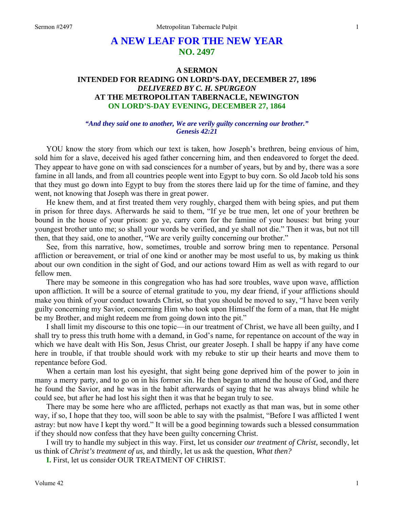## **A NEW LEAF FOR THE NEW YEAR NO. 2497**

## **A SERMON INTENDED FOR READING ON LORD'S-DAY, DECEMBER 27, 1896**  *DELIVERED BY C. H. SPURGEON*  **AT THE METROPOLITAN TABERNACLE, NEWINGTON ON LORD'S-DAY EVENING, DECEMBER 27, 1864**

#### *"And they said one to another, We are verily guilty concerning our brother." Genesis 42:21*

YOU know the story from which our text is taken, how Joseph's brethren, being envious of him, sold him for a slave, deceived his aged father concerning him, and then endeavored to forget the deed. They appear to have gone on with sad consciences for a number of years, but by and by, there was a sore famine in all lands, and from all countries people went into Egypt to buy corn. So old Jacob told his sons that they must go down into Egypt to buy from the stores there laid up for the time of famine, and they went, not knowing that Joseph was there in great power.

He knew them, and at first treated them very roughly, charged them with being spies, and put them in prison for three days. Afterwards he said to them, "If ye be true men, let one of your brethren be bound in the house of your prison: go ye, carry corn for the famine of your houses: but bring your youngest brother unto me; so shall your words be verified, and ye shall not die." Then it was, but not till then, that they said, one to another, "We are verily guilty concerning our brother."

See, from this narrative, how, sometimes, trouble and sorrow bring men to repentance. Personal affliction or bereavement, or trial of one kind or another may be most useful to us, by making us think about our own condition in the sight of God, and our actions toward Him as well as with regard to our fellow men.

There may be someone in this congregation who has had sore troubles, wave upon wave, affliction upon affliction. It will be a source of eternal gratitude to you, my dear friend, if your afflictions should make you think of your conduct towards Christ, so that you should be moved to say, "I have been verily guilty concerning my Savior, concerning Him who took upon Himself the form of a man, that He might be my Brother, and might redeem me from going down into the pit."

I shall limit my discourse to this one topic—in our treatment of Christ, we have all been guilty, and I shall try to press this truth home with a demand, in God's name, for repentance on account of the way in which we have dealt with His Son, Jesus Christ, our greater Joseph. I shall be happy if any have come here in trouble, if that trouble should work with my rebuke to stir up their hearts and move them to repentance before God.

When a certain man lost his eyesight, that sight being gone deprived him of the power to join in many a merry party, and to go on in his former sin. He then began to attend the house of God, and there he found the Savior, and he was in the habit afterwards of saying that he was always blind while he could see, but after he had lost his sight then it was that he began truly to see.

There may be some here who are afflicted, perhaps not exactly as that man was, but in some other way, if so, I hope that they too, will soon be able to say with the psalmist, "Before I was afflicted I went astray: but now have I kept thy word." It will be a good beginning towards such a blessed consummation if they should now confess that they have been guilty concerning Christ.

I will try to handle my subject in this way. First, let us consider *our treatment of Christ,* secondly, let us think of *Christ's treatment of us,* and thirdly, let us ask the question, *What then?* 

**I.** First, let us consider OUR TREATMENT OF CHRIST.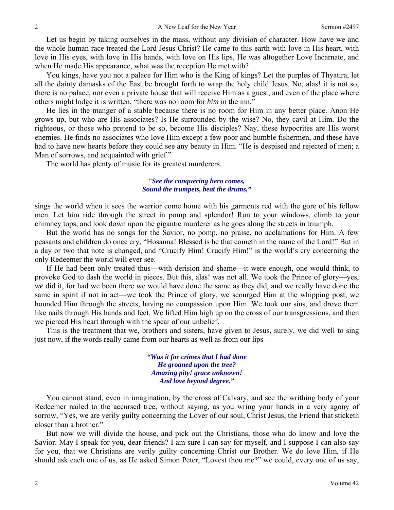Let us begin by taking ourselves in the mass, without any division of character. How have we and the whole human race treated the Lord Jesus Christ? He came to this earth with love in His heart, with love in His eyes, with love in His hands, with love on His lips, He was altogether Love Incarnate, and when He made His appearance, what was the reception He met with?

You kings, have you not a palace for Him who is the King of kings? Let the purples of Thyatira, let all the dainty damasks of the East be brought forth to wrap the holy child Jesus. No, alas! it is not so, there is no palace, nor even a private house that will receive Him as a guest, and even of the place where others might lodge it is written, "there was no room for *him* in the inn."

He lies in the manger of a stable because there is no room for Him in any better place. Anon He grows up, but who are His associates? Is He surrounded by the wise? No, they cavil at Him. Do the righteous, or those who pretend to be so, become His disciples? Nay, these hypocrites are His worst enemies. He finds no associates who love Him except a few poor and humble fishermen, and these have had to have new hearts before they could see any beauty in Him. "He is despised and rejected of men; a Man of sorrows, and acquainted with grief."

The world has plenty of music for its greatest murderers.

## "*See the conquering hero comes, Sound the trumpets, beat the drums,"*

sings the world when it sees the warrior come home with his garments red with the gore of his fellow men. Let him ride through the street in pomp and splendor! Run to your windows, climb to your chimney tops, and look down upon the gigantic murderer as he goes along the streets in triumph.

But the world has no songs for the Savior, no pomp, no praise, no acclamations for Him. A few peasants and children do once cry, "Hosanna! Blessed is he that cometh in the name of the Lord!" But in a day or two that note is changed, and "Crucify Him! Crucify Him!" is the world's cry concerning the only Redeemer the world will ever see.

If He had been only treated thus—with derision and shame—it were enough, one would think, to provoke God to dash the world in pieces. But this, alas! was not all. We took the Prince of glory—yes, *we* did it, for had we been there we would have done the same as they did, and we really have done the same in spirit if not in act—we took the Prince of glory, we scourged Him at the whipping post, we hounded Him through the streets, having no compassion upon Him. We took our sins, and drove them like nails through His hands and feet. We lifted Him high up on the cross of our transgressions, and then we pierced His heart through with the spear of our unbelief.

This is the treatment that we, brothers and sisters, have given to Jesus, surely, we did well to sing just now, if the words really came from our hearts as well as from our lips—

> *"Was it for crimes that I had done He groaned upon the tree? Amazing pity! grace unknown! And love beyond degree."*

You cannot stand, even in imagination, by the cross of Calvary, and see the writhing body of your Redeemer nailed to the accursed tree, without saying, as you wring your hands in a very agony of sorrow, "Yes, we are verily guilty concerning the Lover of our soul, Christ Jesus, the Friend that sticketh closer than a brother."

But now we will divide the house, and pick out the Christians, those who do know and love the Savior. May I speak for you, dear friends? I am sure I can say for myself, and I suppose I can also say for you, that we Christians are verily guilty concerning Christ our Brother. We do love Him, if He should ask each one of us, as He asked Simon Peter, "Lovest thou me?" we could, every one of us say,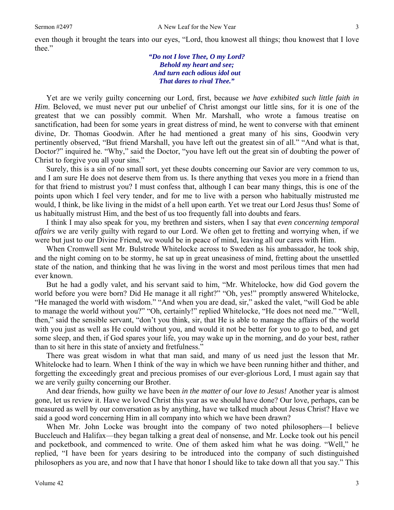*"Do not I love Thee, O my Lord? Behold my heart and see; And turn each odious idol out That dares to rival Thee."* 

Yet are we verily guilty concerning our Lord, first, because *we have exhibited such little faith in Him*. Beloved, we must never put our unbelief of Christ amongst our little sins, for it is one of the greatest that we can possibly commit. When Mr. Marshall, who wrote a famous treatise on sanctification, had been for some years in great distress of mind, he went to converse with that eminent divine, Dr. Thomas Goodwin. After he had mentioned a great many of his sins, Goodwin very pertinently observed, "But friend Marshall, you have left out the greatest sin of all." "And what is that, Doctor?" inquired he. "Why," said the Doctor, "you have left out the great sin of doubting the power of Christ to forgive you all your sins."

Surely, this is a sin of no small sort, yet these doubts concerning our Savior are very common to us, and I am sure He does not deserve them from us. Is there anything that vexes you more in a friend than for that friend to mistrust you? I must confess that, although I can bear many things, this is one of the points upon which I feel very tender, and for me to live with a person who habitually mistrusted me would, I think, be like living in the midst of a hell upon earth. Yet we treat our Lord Jesus thus! Some of us habitually mistrust Him, and the best of us too frequently fall into doubts and fears.

I think I may also speak for you, my brethren and sisters, when I say that *even concerning temporal affairs* we are verily guilty with regard to our Lord. We often get to fretting and worrying when, if we were but just to our Divine Friend, we would be in peace of mind, leaving all our cares with Him.

When Cromwell sent Mr. Bulstrode Whitelocke across to Sweden as his ambassador, he took ship, and the night coming on to be stormy, he sat up in great uneasiness of mind, fretting about the unsettled state of the nation, and thinking that he was living in the worst and most perilous times that men had ever known.

But he had a godly valet, and his servant said to him, "Mr. Whitelocke, how did God govern the world before you were born? Did He manage it all right?" "Oh, yes!" promptly answered Whitelocke, "He managed the world with wisdom." "And when you are dead, sir," asked the valet, "will God be able to manage the world without you?" "Oh, certainly!" replied Whitelocke, "He does not need me." "Well, then," said the sensible servant, "don't you think, sir, that He is able to manage the affairs of the world with you just as well as He could without you, and would it not be better for you to go to bed, and get some sleep, and then, if God spares your life, you may wake up in the morning, and do your best, rather than to sit here in this state of anxiety and fretfulness."

There was great wisdom in what that man said, and many of us need just the lesson that Mr. Whitelocke had to learn. When I think of the way in which we have been running hither and thither, and forgetting the exceedingly great and precious promises of our ever-glorious Lord, I must again say that we are verily guilty concerning our Brother.

And dear friends, how guilty we have been *in the matter of our love to Jesus!* Another year is almost gone, let us review it. Have we loved Christ this year as we should have done? Our love, perhaps, can be measured as well by our conversation as by anything, have we talked much about Jesus Christ? Have we said a good word concerning Him in all company into which we have been drawn?

When Mr. John Locke was brought into the company of two noted philosophers—I believe Buccleuch and Halifax—they began talking a great deal of nonsense, and Mr. Locke took out his pencil and pocketbook, and commenced to write. One of them asked him what he was doing. "Well," he replied, "I have been for years desiring to be introduced into the company of such distinguished philosophers as you are, and now that I have that honor I should like to take down all that you say." This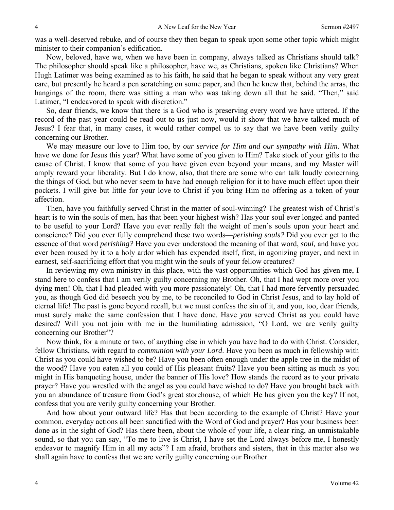was a well-deserved rebuke, and of course they then began to speak upon some other topic which might minister to their companion's edification.

Now, beloved, have we, when we have been in company, always talked as Christians should talk? The philosopher should speak like a philosopher, have we, as Christians, spoken like Christians? When Hugh Latimer was being examined as to his faith, he said that he began to speak without any very great care, but presently he heard a pen scratching on some paper, and then he knew that, behind the arras, the hangings of the room, there was sitting a man who was taking down all that he said. "Then," said Latimer, "I endeavored to speak with discretion."

So, dear friends, we know that there is a God who is preserving every word we have uttered. If the record of the past year could be read out to us just now, would it show that we have talked much of Jesus? I fear that, in many cases, it would rather compel us to say that we have been verily guilty concerning our Brother.

We may measure our love to Him too, by *our service for Him and our sympathy with Him*. What have we done for Jesus this year? What have some of you given to Him? Take stock of your gifts to the cause of Christ. I know that some of you have given even beyond your means, and my Master will amply reward your liberality. But I do know, also, that there are some who can talk loudly concerning the things of God, but who never seem to have had enough religion for it to have much effect upon their pockets. I will give but little for your love to Christ if you bring Him no offering as a token of your affection.

Then, have you faithfully served Christ in the matter of soul-winning? The greatest wish of Christ's heart is to win the souls of men, has that been your highest wish? Has your soul ever longed and panted to be useful to your Lord? Have you ever really felt the weight of men's souls upon your heart and conscience? Did you ever fully comprehend these two words—*perishing souls?* Did you ever get to the essence of that word *perishing?* Have you ever understood the meaning of that word, *soul,* and have you ever been roused by it to a holy ardor which has expended itself, first, in agonizing prayer, and next in earnest, self-sacrificing effort that you might win the souls of your fellow creatures?

In reviewing my own ministry in this place, with the vast opportunities which God has given me, I stand here to confess that I am verily guilty concerning my Brother. Oh, that I had wept more over you dying men! Oh, that I had pleaded with you more passionately! Oh, that I had more fervently persuaded you, as though God did beseech you by me, to be reconciled to God in Christ Jesus, and to lay hold of eternal life! The past is gone beyond recall, but we must confess the sin of it, and you, too, dear friends, must surely make the same confession that I have done. Have *you* served Christ as you could have desired? Will you not join with me in the humiliating admission, "O Lord, we are verily guilty concerning our Brother"?

Now think, for a minute or two, of anything else in which you have had to do with Christ. Consider, fellow Christians, with regard to *communion with your Lord*. Have you been as much in fellowship with Christ as you could have wished to be? Have you been often enough under the apple tree in the midst of the wood? Have you eaten all you could of His pleasant fruits? Have you been sitting as much as you might in His banqueting house, under the banner of His love? How stands the record as to your private prayer? Have you wrestled with the angel as you could have wished to do? Have you brought back with you an abundance of treasure from God's great storehouse, of which He has given you the key? If not, confess that you are verily guilty concerning your Brother.

And how about your outward life? Has that been according to the example of Christ? Have your common, everyday actions all been sanctified with the Word of God and prayer? Has your business been done as in the sight of God? Has there been, about the whole of your life, a clear ring, an unmistakable sound, so that you can say, "To me to live is Christ, I have set the Lord always before me, I honestly endeavor to magnify Him in all my acts"? I am afraid, brothers and sisters, that in this matter also we shall again have to confess that we are verily guilty concerning our Brother.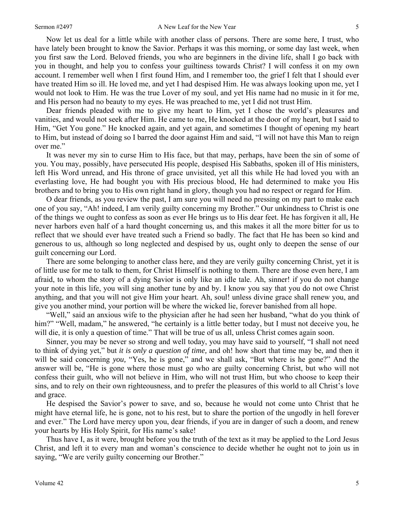Now let us deal for a little while with another class of persons. There are some here, I trust, who have lately been brought to know the Savior. Perhaps it was this morning, or some day last week, when you first saw the Lord. Beloved friends, you who are beginners in the divine life, shall I go back with you in thought, and help you to confess your guiltiness towards Christ? I will confess it on my own account. I remember well when I first found Him, and I remember too, the grief I felt that I should ever have treated Him so ill. He loved me, and yet I had despised Him. He was always looking upon me, yet I would not look to Him. He was the true Lover of my soul, and yet His name had no music in it for me, and His person had no beauty to my eyes. He was preached to me, yet I did not trust Him.

Dear friends pleaded with me to give my heart to Him, yet I chose the world's pleasures and vanities, and would not seek after Him. He came to me, He knocked at the door of my heart, but I said to Him, "Get You gone." He knocked again, and yet again, and sometimes I thought of opening my heart to Him, but instead of doing so I barred the door against Him and said, "I will not have this Man to reign over me."

It was never my sin to curse Him to His face, but that may, perhaps, have been the sin of some of you. You may, possibly, have persecuted His people, despised His Sabbaths, spoken ill of His ministers, left His Word unread, and His throne of grace unvisited, yet all this while He had loved you with an everlasting love, He had bought you with His precious blood, He had determined to make you His brothers and to bring you to His own right hand in glory, though you had no respect or regard for Him.

O dear friends, as you review the past, I am sure you will need no pressing on my part to make each one of you say, "Ah! indeed, I am verily guilty concerning my Brother." Our unkindness to Christ is one of the things we ought to confess as soon as ever He brings us to His dear feet. He has forgiven it all, He never harbors even half of a hard thought concerning us, and this makes it all the more bitter for us to reflect that we should ever have treated such a Friend so badly. The fact that He has been so kind and generous to us, although so long neglected and despised by us, ought only to deepen the sense of our guilt concerning our Lord.

There are some belonging to another class here, and they are verily guilty concerning Christ, yet it is of little use for me to talk to them, for Christ Himself is nothing to them. There are those even here, I am afraid, to whom the story of a dying Savior is only like an idle tale. Ah, sinner! if you do not change your note in this life, you will sing another tune by and by. I know you say that you do not owe Christ anything, and that you will not give Him your heart. Ah, soul! unless divine grace shall renew you, and give you another mind, your portion will be where the wicked lie, forever banished from all hope.

"Well," said an anxious wife to the physician after he had seen her husband, "what do you think of him?" "Well, madam," he answered, "he certainly is a little better today, but I must not deceive you, he will die, it is only a question of time." That will be true of us all, unless Christ comes again soon.

Sinner, you may be never so strong and well today, you may have said to yourself, "I shall not need to think of dying yet," but *it is only a question of time,* and oh! how short that time may be, and then it will be said concerning *you,* "Yes, he is gone," and we shall ask, "But where is he gone?" And the answer will be, "He is gone where those must go who are guilty concerning Christ, but who will not confess their guilt, who will not believe in Him, who will not trust Him, but who choose to keep their sins, and to rely on their own righteousness, and to prefer the pleasures of this world to all Christ's love and grace.

He despised the Savior's power to save, and so, because he would not come unto Christ that he might have eternal life, he is gone, not to his rest, but to share the portion of the ungodly in hell forever and ever." The Lord have mercy upon you, dear friends, if you are in danger of such a doom, and renew your hearts by His Holy Spirit, for His name's sake!

Thus have I, as it were, brought before you the truth of the text as it may be applied to the Lord Jesus Christ, and left it to every man and woman's conscience to decide whether he ought not to join us in saying, "We are verily guilty concerning our Brother."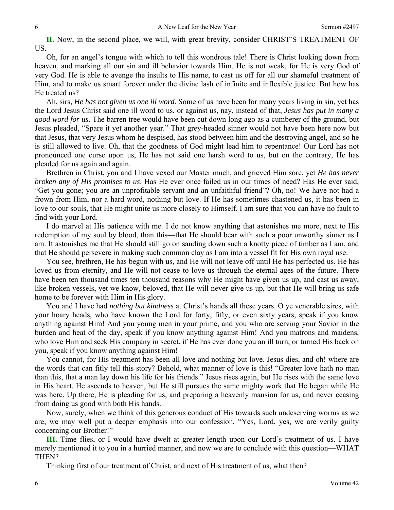**II.** Now, in the second place, we will, with great brevity, consider CHRIST'S TREATMENT OF US.

Oh, for an angel's tongue with which to tell this wondrous tale! There is Christ looking down from heaven, and marking all our sin and ill behavior towards Him. He is not weak, for He is very God of very God. He is able to avenge the insults to His name, to cast us off for all our shameful treatment of Him, and to make us smart forever under the divine lash of infinite and inflexible justice. But how has He treated us?

Ah, sirs, *He has not given us one ill word.* Some of us have been for many years living in sin, yet has the Lord Jesus Christ said one ill word to us, or against us, nay, instead of that, *Jesus has put in many a good word for us*. The barren tree would have been cut down long ago as a cumberer of the ground, but Jesus pleaded, "Spare it yet another year." That grey-headed sinner would not have been here now but that Jesus, that very Jesus whom he despised, has stood between him and the destroying angel, and so he is still allowed to live. Oh, that the goodness of God might lead him to repentance! Our Lord has not pronounced one curse upon us, He has not said one harsh word to us, but on the contrary, He has pleaded for us again and again.

Brethren in Christ, you and I have vexed our Master much, and grieved Him sore, yet *He has never broken any of His promises to us*. Has He ever once failed us in our times of need? Has He ever said, "Get you gone; you are an unprofitable servant and an unfaithful friend"? Oh, no! We have not had a frown from Him, nor a hard word, nothing but love. If He has sometimes chastened us, it has been in love to our souls, that He might unite us more closely to Himself. I am sure that you can have no fault to find with your Lord.

I do marvel at His patience with me. I do not know anything that astonishes me more, next to His redemption of my soul by blood, than this—that He should bear with such a poor unworthy sinner as I am. It astonishes me that He should still go on sanding down such a knotty piece of timber as I am, and that He should persevere in making such common clay as I am into a vessel fit for His own royal use.

You see, brethren, He has begun with us, and He will not leave off until He has perfected us. He has loved us from eternity, and He will not cease to love us through the eternal ages of the future. There have been ten thousand times ten thousand reasons why He might have given us up, and cast us away, like broken vessels, yet we know, beloved, that He will never give us up, but that He will bring us safe home to be forever with Him in His glory.

You and I have had *nothing but kindness* at Christ's hands all these years. O ye venerable sires, with your hoary heads, who have known the Lord for forty, fifty, or even sixty years, speak if you know anything against Him! And you young men in your prime, and you who are serving your Savior in the burden and heat of the day, speak if you know anything against Him! And you matrons and maidens, who love Him and seek His company in secret, if He has ever done you an ill turn, or turned His back on you, speak if you know anything against Him!

You cannot, for His treatment has been all love and nothing but love. Jesus dies, and oh! where are the words that can fitly tell this story? Behold, what manner of love is this! "Greater love hath no man than this, that a man lay down his life for his friends." Jesus rises again, but He rises with the same love in His heart. He ascends to heaven, but He still pursues the same mighty work that He began while He was here. Up there, He is pleading for us, and preparing a heavenly mansion for us, and never ceasing from doing us good with both His hands.

Now, surely, when we think of this generous conduct of His towards such undeserving worms as we are, we may well put a deeper emphasis into our confession, "Yes, Lord, yes, we are verily guilty concerning our Brother!"

**III.** Time flies, or I would have dwelt at greater length upon our Lord's treatment of us. I have merely mentioned it to you in a hurried manner, and now we are to conclude with this question—WHAT THEN?

Thinking first of our treatment of Christ, and next of His treatment of us, what then?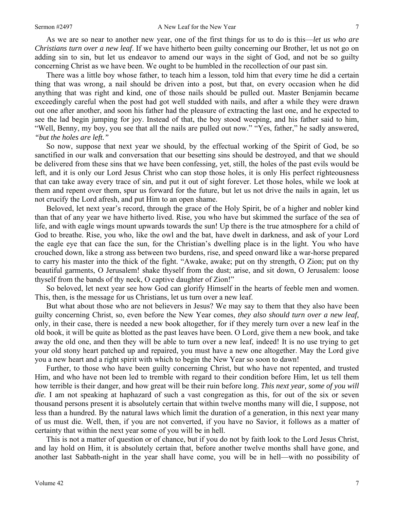As we are so near to another new year, one of the first things for us to do is this—*let us who are Christians turn over a new leaf*. If we have hitherto been guilty concerning our Brother, let us not go on adding sin to sin, but let us endeavor to amend our ways in the sight of God, and not be so guilty concerning Christ as we have been. We ought to be humbled in the recollection of our past sin.

There was a little boy whose father, to teach him a lesson, told him that every time he did a certain thing that was wrong, a nail should be driven into a post, but that, on every occasion when he did anything that was right and kind, one of those nails should be pulled out. Master Benjamin became exceedingly careful when the post had got well studded with nails, and after a while they were drawn out one after another, and soon his father had the pleasure of extracting the last one, and he expected to see the lad begin jumping for joy. Instead of that, the boy stood weeping, and his father said to him, "Well, Benny, my boy, you see that all the nails are pulled out now." "Yes, father," he sadly answered, *"but the holes are left."*

So now, suppose that next year we should, by the effectual working of the Spirit of God, be so sanctified in our walk and conversation that our besetting sins should be destroyed, and that we should be delivered from these sins that we have been confessing, yet, still, the holes of the past evils would be left, and it is only our Lord Jesus Christ who can stop those holes, it is only His perfect righteousness that can take away every trace of sin, and put it out of sight forever. Let those holes, while we look at them and repent over them, spur us forward for the future, but let us not drive the nails in again, let us not crucify the Lord afresh, and put Him to an open shame.

Beloved, let next year's record, through the grace of the Holy Spirit, be of a higher and nobler kind than that of any year we have hitherto lived. Rise, you who have but skimmed the surface of the sea of life, and with eagle wings mount upwards towards the sun! Up there is the true atmosphere for a child of God to breathe. Rise, you who, like the owl and the bat, have dwelt in darkness, and ask of your Lord the eagle eye that can face the sun, for the Christian's dwelling place is in the light. You who have crouched down, like a strong ass between two burdens, rise, and speed onward like a war-horse prepared to carry his master into the thick of the fight. "Awake, awake; put on thy strength, O Zion; put on thy beautiful garments, O Jerusalem! shake thyself from the dust; arise, and sit down, O Jerusalem: loose thyself from the bands of thy neck, O captive daughter of Zion!"

So beloved, let next year see how God can glorify Himself in the hearts of feeble men and women. This, then, is the message for us Christians, let us turn over a new leaf.

But what about those who are not believers in Jesus? We may say to them that they also have been guilty concerning Christ, so, even before the New Year comes, *they also should turn over a new leaf,*  only, in their case, there is needed a new book altogether, for if they merely turn over a new leaf in the old book, it will be quite as blotted as the past leaves have been. O Lord, give them a new book, and take away the old one, and then they will be able to turn over a new leaf, indeed! It is no use trying to get your old stony heart patched up and repaired, you must have a new one altogether. May the Lord give you a new heart and a right spirit with which to begin the New Year so soon to dawn!

Further, to those who have been guilty concerning Christ, but who have not repented, and trusted Him, and who have not been led to tremble with regard to their condition before Him, let us tell them how terrible is their danger, and how great will be their ruin before long. *This next year, some of you will die.* I am not speaking at haphazard of such a vast congregation as this, for out of the six or seven thousand persons present it is absolutely certain that within twelve months many will die, I suppose, not less than a hundred. By the natural laws which limit the duration of a generation, in this next year many of us must die. Well, then, if you are not converted, if you have no Savior, it follows as a matter of certainty that within the next year some of you will be in hell.

This is not a matter of question or of chance, but if you do not by faith look to the Lord Jesus Christ, and lay hold on Him, it is absolutely certain that, before another twelve months shall have gone, and another last Sabbath-night in the year shall have come, you will be in hell—with no possibility of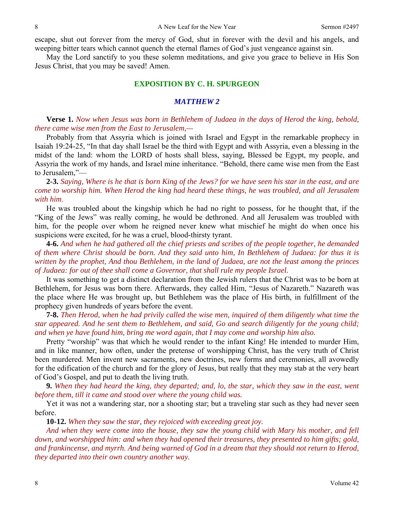escape, shut out forever from the mercy of God, shut in forever with the devil and his angels, and weeping bitter tears which cannot quench the eternal flames of God's just vengeance against sin.

May the Lord sanctify to you these solemn meditations, and give you grace to believe in His Son Jesus Christ, that you may be saved! Amen.

### **EXPOSITION BY C. H. SPURGEON**

#### *MATTHEW 2*

**Verse 1.** *Now when Jesus was born in Bethlehem of Judaea in the days of Herod the king, behold, there came wise men from the East to Jerusalem,—*

Probably from that Assyria which is joined with Israel and Egypt in the remarkable prophecy in Isaiah 19:24-25, "In that day shall Israel be the third with Egypt and with Assyria, even a blessing in the midst of the land: whom the LORD of hosts shall bless, saying, Blessed be Egypt, my people, and Assyria the work of my hands, and Israel mine inheritance. "Behold, there came wise men from the East to Jerusalem,"—

**2-3.** *Saying, Where is he that is born King of the Jews? for we have seen his star in the east, and are come to worship him. When Herod the king had heard these things, he was troubled, and all Jerusalem with him*.

He was troubled about the kingship which he had no right to possess, for he thought that, if the "King of the Jews" was really coming, he would be dethroned. And all Jerusalem was troubled with him, for the people over whom he reigned never knew what mischief he might do when once his suspicions were excited, for he was a cruel, blood-thirsty tyrant.

**4-6.** *And when he had gathered all the chief priests and scribes of the people together, he demanded of them where Christ should be born. And they said unto him, In Bethlehem of Judaea: for thus it is written by the prophet, And thou Bethlehem, in the land of Judaea, are not the least among the princes of Judaea: for out of thee shall come a Governor, that shall rule my people Israel.*

It was something to get a distinct declaration from the Jewish rulers that the Christ was to be born at Bethlehem, for Jesus was born there. Afterwards, they called Him, "Jesus of Nazareth." Nazareth was the place where He was brought up, but Bethlehem was the place of His birth, in fulfillment of the prophecy given hundreds of years before the event.

**7-8.** *Then Herod, when he had privily called the wise men, inquired of them diligently what time the star appeared. And he sent them to Bethlehem, and said, Go and search diligently for the young child; and when ye have found him, bring me word again, that I may come and worship him also.*

Pretty "worship" was that which he would render to the infant King! He intended to murder Him, and in like manner, how often, under the pretense of worshipping Christ, has the very truth of Christ been murdered. Men invent new sacraments, new doctrines, new forms and ceremonies, all avowedly for the edification of the church and for the glory of Jesus, but really that they may stab at the very heart of God's Gospel, and put to death the living truth.

**9.** *When they had heard the king, they departed; and, lo, the star, which they saw in the east, went before them, till it came and stood over where the young child was.*

Yet it was not a wandering star, nor a shooting star; but a traveling star such as they had never seen before.

**10-12.** *When they saw the star, they rejoiced with exceeding great joy.* 

*And when they were come into the house, they saw the young child with Mary his mother, and fell down, and worshipped him: and when they had opened their treasures, they presented to him gifts; gold, and frankincense, and myrrh. And being warned of God in a dream that they should not return to Herod, they departed into their own country another way.*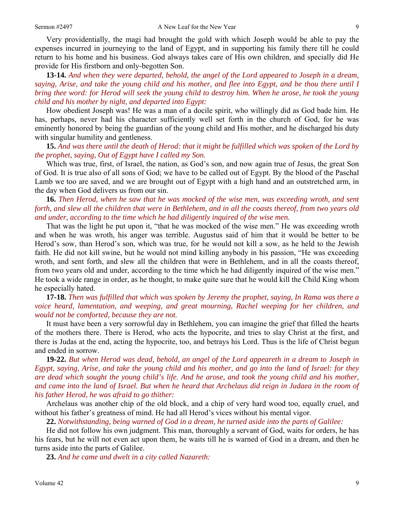Very providentially, the magi had brought the gold with which Joseph would be able to pay the expenses incurred in journeying to the land of Egypt, and in supporting his family there till he could return to his home and his business. God always takes care of His own children, and specially did He provide for His firstborn and only-begotten Son.

**13-14.** *And when they were departed, behold, the angel of the Lord appeared to Joseph in a dream, saying, Arise, and take the young child and his mother, and flee into Egypt, and be thou there until I bring thee word: for Herod will seek the young child to destroy him. When he arose, he took the young child and his mother by night, and departed into Egypt:*

How obedient Joseph was! He was a man of a docile spirit, who willingly did as God bade him. He has, perhaps, never had his character sufficiently well set forth in the church of God, for he was eminently honored by being the guardian of the young child and His mother, and he discharged his duty with singular humility and gentleness.

## **15.** *And was there until the death of Herod: that it might be fulfilled which was spoken of the Lord by the prophet, saying, Out of Egypt have I called my Son.*

Which was true, first, of Israel, the nation, as God's son, and now again true of Jesus, the great Son of God. It is true also of all sons of God; we have to be called out of Egypt. By the blood of the Paschal Lamb we too are saved, and we are brought out of Egypt with a high hand and an outstretched arm, in the day when God delivers us from our sin.

**16.** *Then Herod, when he saw that he was mocked of the wise men, was exceeding wroth, and sent forth, and slew all the children that were in Bethlehem, and in all the coasts thereof, from two years old and under, according to the time which he had diligently inquired of the wise men.*

That was the light he put upon it, "that he was mocked of the wise men." He was exceeding wroth and when he was wroth, his anger was terrible. Augustus said of him that it would be better to be Herod's sow, than Herod's son, which was true, for he would not kill a sow, as he held to the Jewish faith. He did not kill swine, but he would not mind killing anybody in his passion, "He was exceeding wroth, and sent forth, and slew all the children that were in Bethlehem, and in all the coasts thereof, from two years old and under, according to the time which he had diligently inquired of the wise men." He took a wide range in order, as he thought, to make quite sure that he would kill the Child King whom he especially hated.

## **17-18.** *Then was fulfilled that which was spoken by Jeremy the prophet, saying, In Rama was there a voice heard, lamentation, and weeping, and great mourning, Rachel weeping for her children, and would not be comforted, because they are not.*

It must have been a very sorrowful day in Bethlehem, you can imagine the grief that filled the hearts of the mothers there. There is Herod, who acts the hypocrite, and tries to slay Christ at the first, and there is Judas at the end, acting the hypocrite, too, and betrays his Lord. Thus is the life of Christ begun and ended in sorrow.

**19-22.** *But when Herod was dead, behold, an angel of the Lord appeareth in a dream to Joseph in Egypt, saying, Arise, and take the young child and his mother, and go into the land of Israel: for they are dead which sought the young child's life. And he arose, and took the young child and his mother, and came into the land of Israel. But when he heard that Archelaus did reign in Judaea in the room of his father Herod, he was afraid to go thither:*

Archelaus was another chip of the old block, and a chip of very hard wood too, equally cruel, and without his father's greatness of mind. He had all Herod's vices without his mental vigor.

**22.** *Notwithstanding, being warned of God in a dream, he turned aside into the parts of Galilee:*

He did not follow his own judgment. This man, thoroughly a servant of God, waits for orders, he has his fears, but he will not even act upon them, he waits till he is warned of God in a dream, and then he turns aside into the parts of Galilee.

**23.** *And he came and dwelt in a city called Nazareth:*